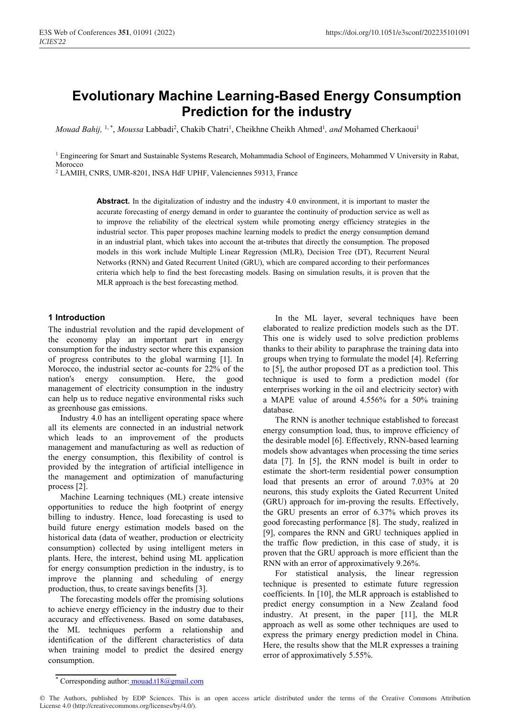# **Evolutionary Machine Learning-Based Energy Consumption Prediction for the industry**

*Mouad Bahij*, <sup>1,\*</sup>, *Moussa* Labbadi<sup>2</sup>, Chakib Chatri<sup>1</sup>, Cheikhne Cheikh Ahmed<sup>1</sup>, and Mohamed Cherkaoui<sup>1</sup>

<sup>1</sup> Engineering for Smart and Sustainable Systems Research, Mohammadia School of Engineers, Mohammed V University in Rabat, Morocco

<sup>2</sup> LAMIH, CNRS, UMR-8201, INSA HdF UPHF, Valenciennes 59313, France

**Abstract.** In the digitalization of industry and the industry 4.0 environment, it is important to master the accurate forecasting of energy demand in order to guarantee the continuity of production service as well as to improve the reliability of the electrical system while promoting energy efficiency strategies in the industrial sector. This paper proposes machine learning models to predict the energy consumption demand in an industrial plant, which takes into account the at-tributes that directly the consumption. The proposed models in this work include Multiple Linear Regression (MLR), Decision Tree (DT), Recurrent Neural Networks (RNN) and Gated Recurrent United (GRU), which are compared according to their performances criteria which help to find the best forecasting models. Basing on simulation results, it is proven that the MLR approach is the best forecasting method.

# **1 Introduction**

The industrial revolution and the rapid development of the economy play an important part in energy consumption for the industry sector where this expansion of progress contributes to the global warming [1]. In Morocco, the industrial sector ac-counts for 22% of the nation's energy consumption. Here, the good management of electricity consumption in the industry can help us to reduce negative environmental risks such as greenhouse gas emissions.

Industry 4.0 has an intelligent operating space where all its elements are connected in an industrial network which leads to an improvement of the products management and manufacturing as well as reduction of the energy consumption, this flexibility of control is provided by the integration of artificial intelligence in the management and optimization of manufacturing process [2].

Machine Learning techniques (ML) create intensive opportunities to reduce the high footprint of energy billing to industry. Hence, load forecasting is used to build future energy estimation models based on the historical data (data of weather, production or electricity consumption) collected by using intelligent meters in plants. Here, the interest, behind using ML application for energy consumption prediction in the industry, is to improve the planning and scheduling of energy production, thus, to create savings benefits [3].

The forecasting models offer the promising solutions to achieve energy efficiency in the industry due to their accuracy and effectiveness. Based on some databases, the ML techniques perform a relationship and identification of the different characteristics of data when training model to predict the desired energy consumption.

In the ML layer, several techniques have been elaborated to realize prediction models such as the DT. This one is widely used to solve prediction problems thanks to their ability to paraphrase the training data into groups when trying to formulate the model [4]. Referring to [5], the author proposed DT as a prediction tool. This technique is used to form a prediction model (for enterprises working in the oil and electricity sector) with a MAPE value of around 4.556% for a 50% training database.

The RNN is another technique established to forecast energy consumption load, thus, to improve efficiency of the desirable model [6]. Effectively, RNN-based learning models show advantages when processing the time series data [7]. In [5], the RNN model is built in order to estimate the short-term residential power consumption load that presents an error of around 7.03% at 20 neurons, this study exploits the Gated Recurrent United (GRU) approach for im-proving the results. Effectively, the GRU presents an error of 6.37% which proves its good forecasting performance [8]. The study, realized in [9], compares the RNN and GRU techniques applied in the traffic flow prediction, in this case of study, it is proven that the GRU approach is more efficient than the RNN with an error of approximatively 9.26%.

For statistical analysis, the linear regression technique is presented to estimate future regression coefficients. In [10], the MLR approach is established to predict energy consumption in a New Zealand food industry. At present, in the paper [11], the MLR approach as well as some other techniques are used to express the primary energy prediction model in China. Here, the results show that the MLR expresses a training error of approximatively 5.55%.

<sup>\*</sup> Corresponding author: mouad.t18@gmail.com

<sup>©</sup> The Authors, published by EDP Sciences. This is an open access article distributed under the terms of the Creative Commons Attribution License 4.0 (http://creativecommons.org/licenses/by/4.0/).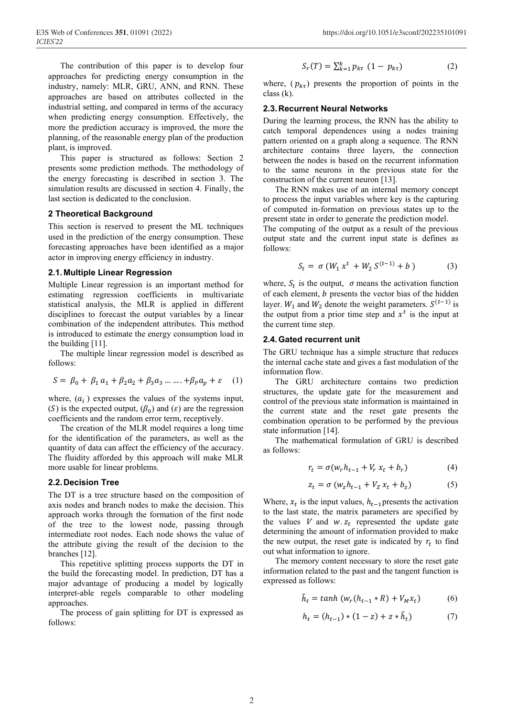The contribution of this paper is to develop four approaches for predicting energy consumption in the industry, namely: MLR, GRU, ANN, and RNN. These approaches are based on attributes collected in the industrial setting, and compared in terms of the accuracy when predicting energy consumption. Effectively, the more the prediction accuracy is improved, the more the planning, of the reasonable energy plan of the production plant, is improved.

This paper is structured as follows: Section 2 presents some prediction methods. The methodology of the energy forecasting is described in section 3. The simulation results are discussed in section 4. Finally, the last section is dedicated to the conclusion.

# **2 Theoretical Background**

This section is reserved to present the ML techniques used in the prediction of the energy consumption. These forecasting approaches have been identified as a major actor in improving energy efficiency in industry.

# **2.1.Multiple Linear Regression**

Multiple Linear regression is an important method for estimating regression coefficients in multivariate statistical analysis, the MLR is applied in different disciplines to forecast the output variables by a linear combination of the independent attributes. This method is introduced to estimate the energy consumption load in the building [11].

The multiple linear regression model is described as follows:

$$
S = \beta_0 + \beta_1 a_1 + \beta_2 a_2 + \beta_3 a_3 \dots + \beta_p a_p + \varepsilon \quad (1)
$$

where,  $(a_i)$  expresses the values of the systems input, (S) is the expected output,  $(\beta_0)$  and  $(\varepsilon)$  are the regression coefficients and the random error term, receptively.

The creation of the MLR model requires a long time for the identification of the parameters, as well as the quantity of data can affect the efficiency of the accuracy. The fluidity afforded by this approach will make MLR more usable for linear problems.

#### **2.2.Decision Tree**

The DT is a tree structure based on the composition of axis nodes and branch nodes to make the decision. This approach works through the formation of the first node of the tree to the lowest node, passing through intermediate root nodes. Each node shows the value of the attribute giving the result of the decision to the branches [12].

This repetitive splitting process supports the DT in the build the forecasting model. In prediction, DT has a major advantage of producing a model by logically interpret-able regels comparable to other modeling approaches.

The process of gain splitting for DT is expressed as follows:

$$
S_r(T) = \sum_{k=1}^{k} p_{k\tau} (1 - p_{k\tau})
$$
 (2)

where,  $(p_{k\tau})$  presents the proportion of points in the class (k).

#### **2.3.Recurrent Neural Networks**

During the learning process, the RNN has the ability to catch temporal dependences using a nodes training pattern oriented on a graph along a sequence. The RNN architecture contains three layers, the connection between the nodes is based on the recurrent information to the same neurons in the previous state for the construction of the current neuron [13].

The RNN makes use of an internal memory concept to process the input variables where key is the capturing of computed in-formation on previous states up to the present state in order to generate the prediction model.

The computing of the output as a result of the previous output state and the current input state is defines as follows:

$$
S_t = \sigma (W_1 x^t + W_2 S^{(t-1)} + b)
$$
 (3)

where,  $S_t$  is the output,  $\sigma$  means the activation function of each element,  $b$  presents the vector bias of the hidden layer.  $W_1$  and  $W_2$  denote the weight parameters.  $S^{(t-1)}$  is the output from a prior time step and  $x<sup>t</sup>$  is the input at the current time step.

#### **2.4.Gated recurrent unit**

The GRU technique has a simple structure that reduces the internal cache state and gives a fast modulation of the information flow.

The GRU architecture contains two prediction structures, the update gate for the measurement and control of the previous state information is maintained in the current state and the reset gate presents the combination operation to be performed by the previous state information [14].

The mathematical formulation of GRU is described as follows:

$$
r_t = \sigma(w_r h_{t-1} + V_r x_t + b_r)
$$
 (4)

$$
z_t = \sigma (w_z h_{t-1} + V_z x_t + b_z)
$$
 (5)

Where,  $x_t$  is the input values,  $h_{t-1}$  presents the activation to the last state, the matrix parameters are specified by the values  $V$  and  $w$ .  $z_t$  represented the update gate determining the amount of information provided to make the new output, the reset gate is indicated by  $r_t$  to find out what information to ignore.

The memory content necessary to store the reset gate information related to the past and the tangent function is expressed as follows:

$$
\tilde{h}_t = \tanh (w_r (h_{t-1} * R) + V_M x_t) \tag{6}
$$

$$
h_t = (h_{t-1}) * (1 - z) + z * \tilde{h}_t)
$$
 (7)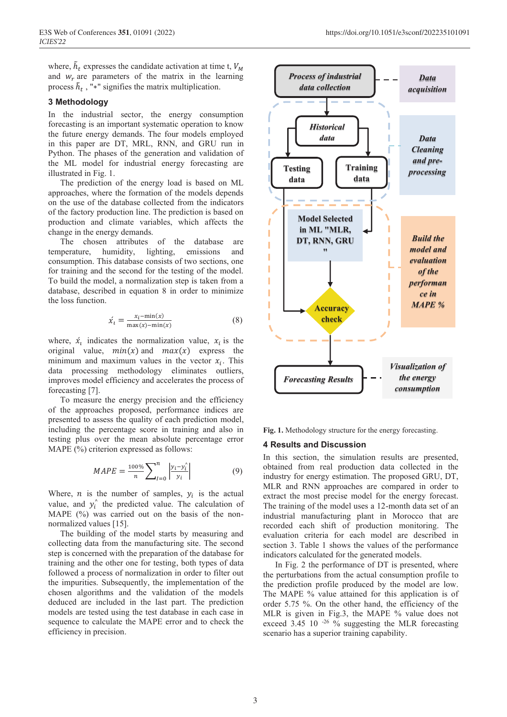where,  $\tilde{h}_t$  expresses the candidate activation at time t,  $V_M$ and  $w_r$  are parameters of the matrix in the learning process  $\tilde{h}_t$ , "\*" signifies the matrix multiplication.

#### **3 Methodology**

In the industrial sector, the energy consumption forecasting is an important systematic operation to know the future energy demands. The four models employed in this paper are DT, MRL, RNN, and GRU run in Python. The phases of the generation and validation of the ML model for industrial energy forecasting are illustrated in Fig. 1.

The prediction of the energy load is based on ML approaches, where the formation of the models depends on the use of the database collected from the indicators of the factory production line. The prediction is based on production and climate variables, which affects the change in the energy demands.

The chosen attributes of the database are temperature, humidity, lighting, emissions and consumption. This database consists of two sections, one for training and the second for the testing of the model. To build the model, a normalization step is taken from a database, described in equation 8 in order to minimize the loss function.

$$
\acute{x}_t = \frac{x_t - \min(x)}{\max(x) - \min(x)}\tag{8}
$$

where,  $\dot{x}_i$  indicates the normalization value,  $x_i$  is the original value,  $min(x)$  and  $max(x)$  express the minimum and maximum values in the vector  $x_i$ . This data processing methodology eliminates outliers, improves model efficiency and accelerates the process of forecasting [7].

To measure the energy precision and the efficiency of the approaches proposed, performance indices are presented to assess the quality of each prediction model, including the percentage score in training and also in testing plus over the mean absolute percentage error MAPE (%) criterion expressed as follows:

$$
MAPE = \frac{100\%}{n} \sum_{I=0}^{n} \left| \frac{y_i - y_i^2}{y_i} \right| \tag{9}
$$

Where, *n* is the number of samples,  $y_i$  is the actual value, and  $y_i^{\prime}$  the predicted value. The calculation of MAPE (%) was carried out on the basis of the nonnormalized values [15].

The building of the model starts by measuring and collecting data from the manufacturing site. The second step is concerned with the preparation of the database for training and the other one for testing, both types of data followed a process of normalization in order to filter out the impurities. Subsequently, the implementation of the chosen algorithms and the validation of the models deduced are included in the last part. The prediction models are tested using the test database in each case in sequence to calculate the MAPE error and to check the efficiency in precision.



**Fig. 1.** Methodology structure for the energy forecasting.

## **4 Results and Discussion**

In this section, the simulation results are presented, obtained from real production data collected in the industry for energy estimation. The proposed GRU, DT, MLR and RNN approaches are compared in order to extract the most precise model for the energy forecast. The training of the model uses a 12-month data set of an industrial manufacturing plant in Morocco that are recorded each shift of production monitoring. The evaluation criteria for each model are described in section 3. Table 1 shows the values of the performance indicators calculated for the generated models.

In Fig. 2 the performance of DT is presented, where the perturbations from the actual consumption profile to the prediction profile produced by the model are low. The MAPE % value attained for this application is of order 5.75 %. On the other hand, the efficiency of the MLR is given in Fig.3, the MAPE % value does not exceed 3.45 10  $-26\%$  suggesting the MLR forecasting scenario has a superior training capability.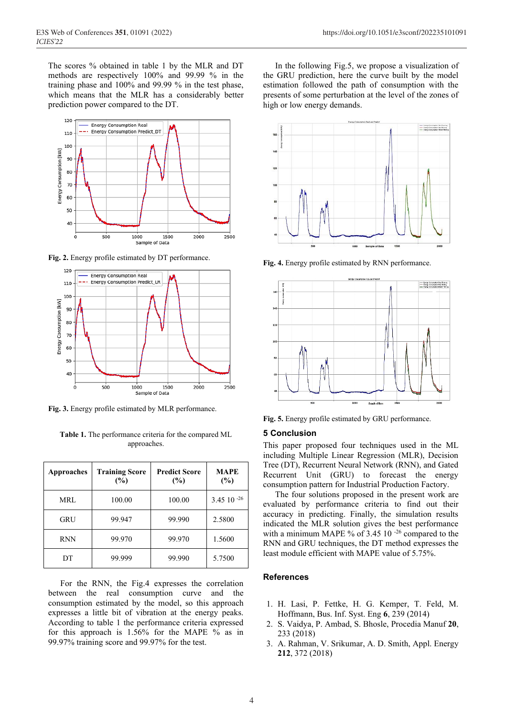The scores % obtained in table 1 by the MLR and DT methods are respectively 100% and 99.99 % in the training phase and 100% and 99.99 % in the test phase, which means that the MLR has a considerably better prediction power compared to the DT.



**Fig. 2.** Energy profile estimated by DT performance.



**Fig. 3.** Energy profile estimated by MLR performance.

**Table 1.** The performance criteria for the compared ML approaches.

| <b>Approaches</b> | <b>Training Score</b><br>(%) | <b>Predict Score</b><br>(%) | MAPE<br>(%)        |
|-------------------|------------------------------|-----------------------------|--------------------|
| <b>MRL</b>        | 100.00                       | 100.00                      | $3.45$ 10 $^{-26}$ |
| GRU               | 99.947                       | 99.990                      | 2.5800             |
| <b>RNN</b>        | 99.970                       | 99.970                      | 1.5600             |
| DТ                | 99.999                       | 99.990                      | 5.7500             |

For the RNN, the Fig.4 expresses the correlation between the real consumption curve and the consumption estimated by the model, so this approach expresses a little bit of vibration at the energy peaks. According to table 1 the performance criteria expressed for this approach is 1.56% for the MAPE % as in 99.97% training score and 99.97% for the test.

In the following Fig.5, we propose a visualization of the GRU prediction, here the curve built by the model estimation followed the path of consumption with the presents of some perturbation at the level of the zones of high or low energy demands.



**Fig. 4.** Energy profile estimated by RNN performance.



**Fig. 5.** Energy profile estimated by GRU performance.

# **5 Conclusion**

This paper proposed four techniques used in the ML including Multiple Linear Regression (MLR), Decision Tree (DT), Recurrent Neural Network (RNN), and Gated Recurrent Unit (GRU) to forecast the energy consumption pattern for Industrial Production Factory.

The four solutions proposed in the present work are evaluated by performance criteria to find out their accuracy in predicting. Finally, the simulation results indicated the MLR solution gives the best performance with a minimum MAPE % of 3.45 10<sup>-26</sup> compared to the RNN and GRU techniques, the DT method expresses the least module efficient with MAPE value of 5.75%.

## **References**

- 1. H. Lasi, P. Fettke, H. G. Kemper, T. Feld, M. Hoffmann, Bus. Inf. Syst. Eng **6**, 239 (2014)
- 2. S. Vaidya, P. Ambad, S. Bhosle, Procedia Manuf **20**, 233 (2018)
- 3. A. Rahman, V. Srikumar, A. D. Smith, Appl. Energy **212**, 372 (2018)